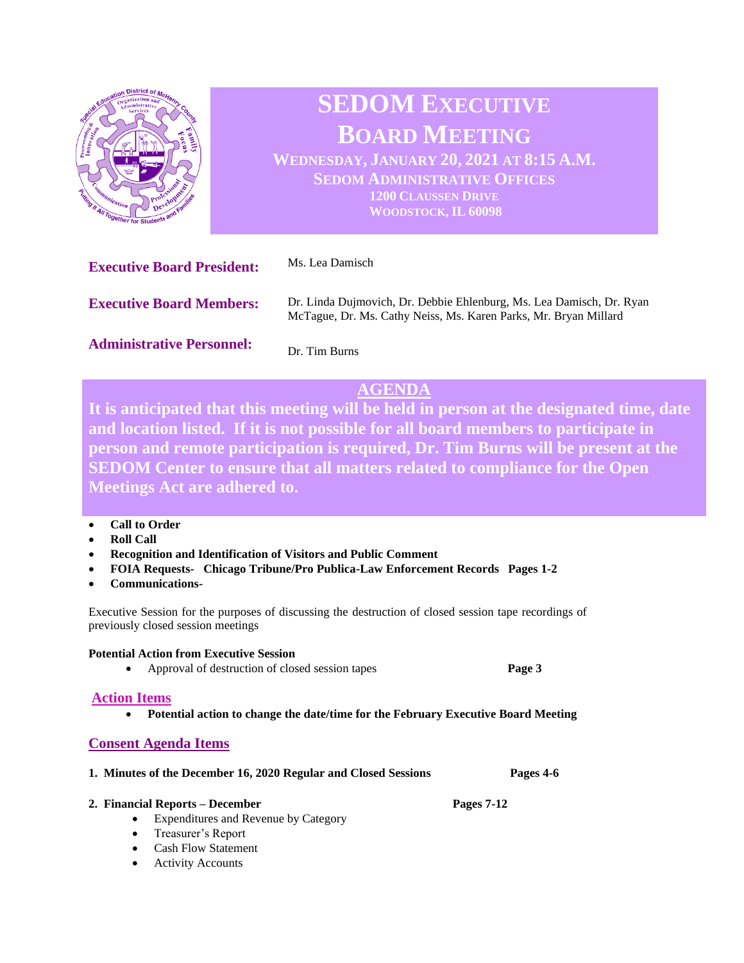

# **SEDOM EXECUTIVE BOARD MEETING**

**WEDNESDAY, JANUARY 20, 2021 AT 8:15 A.M. SEDOM ADMINISTRATIVE OFFICES 1200 CLAUSSEN DRIVE WOODSTOCK, IL 60098**

| <b>Executive Board President:</b> | Ms. Lea Damisch                                                                                                                          |
|-----------------------------------|------------------------------------------------------------------------------------------------------------------------------------------|
| <b>Executive Board Members:</b>   | Dr. Linda Dujmovich, Dr. Debbie Ehlenburg, Ms. Lea Damisch, Dr. Ryan<br>McTague, Dr. Ms. Cathy Neiss, Ms. Karen Parks, Mr. Bryan Millard |
| <b>Administrative Personnel:</b>  | Dr. Tim Burns                                                                                                                            |

# **AGENDA**

**It is anticipated that this meeting will be held in person at the designated time, date and location listed. If it is not possible for all board members to participate in person and remote participation is required, Dr. Tim Burns will be present at the SEDOM Center to ensure that all matters related to compliance for the Open Meetings Act are adhered to.** 

- **Call to Order**
- **Roll Call**
- **Recognition and Identification of Visitors and Public Comment**
- **FOIA Requests- Chicago Tribune/Pro Publica-Law Enforcement Records Pages 1-2**
- **Communications-**

Executive Session for the purposes of discussing the destruction of closed session tape recordings of previously closed session meetings

#### **Potential Action from Executive Session**

• Approval of destruction of closed session tapes **Page 3**

#### **Action Items**

• **Potential action to change the date/time for the February Executive Board Meeting** 

## **Consent Agenda Items**

| 1. Minutes of the December 16, 2020 Regular and Closed Sessions |  | Pages 4-6 |
|-----------------------------------------------------------------|--|-----------|
|                                                                 |  |           |

**2. Financial Reports – December Pages 7-12**

- Expenditures and Revenue by Category
- Treasurer's Report
- Cash Flow Statement
- **Activity Accounts**